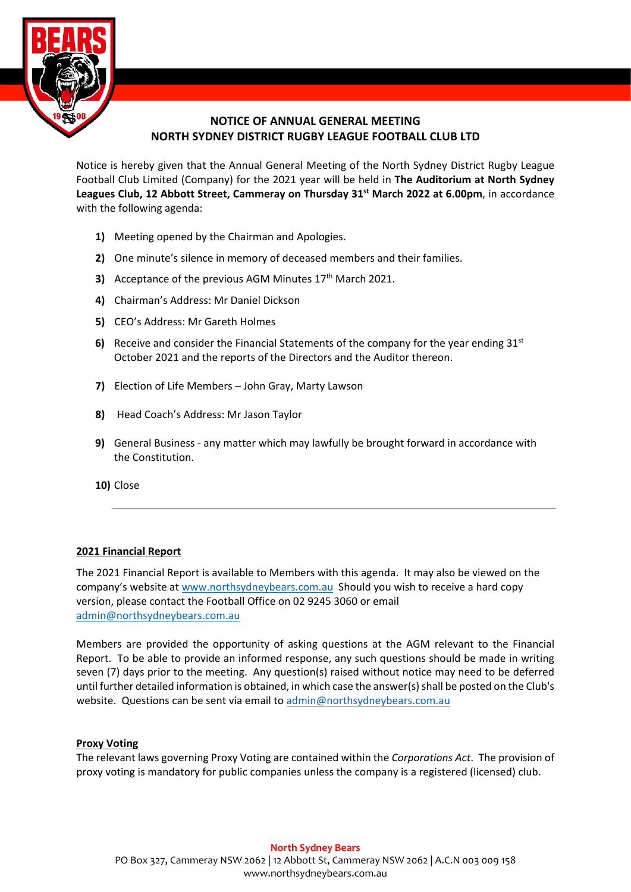

# **NOTICE OF ANNUAL GENERAL MEETING NORTH SYDNEY DISTRICT RUGBY LEAGUE FOOTBALL CLUB LTD**

Notice is hereby given that the Annual General Meeting of the North Sydney District Rugby League Football Club Limited (Company) for the 2021 year will be held in **The Auditorium at North Sydney Leagues Club, 12 Abbott Street, Cammeray on Thursday 31st March 2022 at 6.00pm**, in accordance with the following agenda:

- **1)** Meeting opened by the Chairman and Apologies.
- **2)** One minute's silence in memory of deceased members and their families.
- **3)** Acceptance of the previous AGM Minutes 17<sup>th</sup> March 2021.
- **4)** Chairman's Address: Mr Daniel Dickson
- **5)** CEO's Address: Mr Gareth Holmes
- **6)** Receive and consider the Financial Statements of the company for the year ending  $31<sup>st</sup>$ October 2021 and the reports of the Directors and the Auditor thereon.
- **7)** Election of Life Members John Gray, Marty Lawson
- **8)** Head Coach's Address: Mr Jason Taylor
- **9)** General Business any matter which may lawfully be brought forward in accordance with the Constitution.
- **10)** Close

## **2021 Financial Report**

The 2021 Financial Report is available to Members with this agenda. It may also be viewed on the company's website a[t www.northsydneybears.com.au](http://www.northsydneybears.com.au/) Should you wish to receive a hard copy version, please contact the Football Office on 02 9245 3060 or email [admin@northsydneybears.com.au](mailto:admin@northsydneybears.com.au)

Members are provided the opportunity of asking questions at the AGM relevant to the Financial Report. To be able to provide an informed response, any such questions should be made in writing seven (7) days prior to the meeting. Any question(s) raised without notice may need to be deferred until further detailed information is obtained, in which case the answer(s) shall be posted on the Club's website. Questions can be sent via email to [admin@northsydneybears.com.au](mailto:admin@northsydneybears.com.au)

## **Proxy Voting**

The relevant laws governing Proxy Voting are contained within the *Corporations Act*. The provision of proxy voting is mandatory for public companies unless the company is a registered (licensed) club.